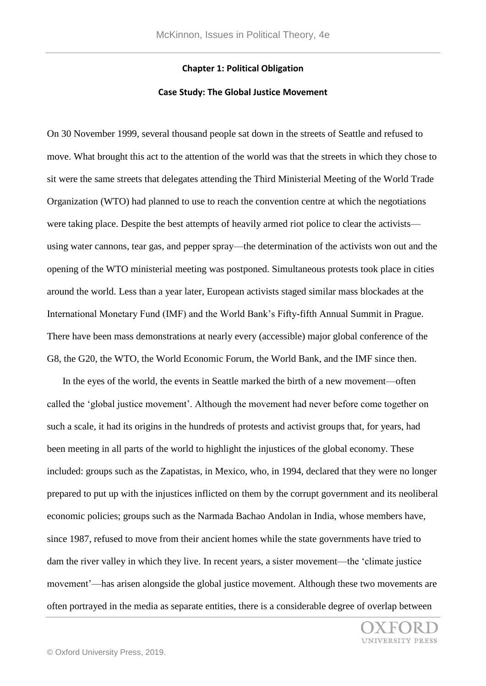## **Chapter 1: Political Obligation**

## **Case Study: The Global Justice Movement**

On 30 November 1999, several thousand people sat down in the streets of Seattle and refused to move. What brought this act to the attention of the world was that the streets in which they chose to sit were the same streets that delegates attending the Third Ministerial Meeting of the World Trade Organization (WTO) had planned to use to reach the convention centre at which the negotiations were taking place. Despite the best attempts of heavily armed riot police to clear the activists using water cannons, tear gas, and pepper spray—the determination of the activists won out and the opening of the WTO ministerial meeting was postponed. Simultaneous protests took place in cities around the world. Less than a year later, European activists staged similar mass blockades at the International Monetary Fund (IMF) and the World Bank's Fifty-fifth Annual Summit in Prague. There have been mass demonstrations at nearly every (accessible) major global conference of the G8, the G20, the WTO, the World Economic Forum, the World Bank, and the IMF since then.

 In the eyes of the world, the events in Seattle marked the birth of a new movement—often called the 'global justice movement'. Although the movement had never before come together on such a scale, it had its origins in the hundreds of protests and activist groups that, for years, had been meeting in all parts of the world to highlight the injustices of the global economy. These included: groups such as the Zapatistas, in Mexico, who, in 1994, declared that they were no longer prepared to put up with the injustices inflicted on them by the corrupt government and its neoliberal economic policies; groups such as the Narmada Bachao Andolan in India, whose members have, since 1987, refused to move from their ancient homes while the state governments have tried to dam the river valley in which they live. In recent years, a sister movement—the 'climate justice movement'—has arisen alongside the global justice movement. Although these two movements are often portrayed in the media as separate entities, there is a considerable degree of overlap between

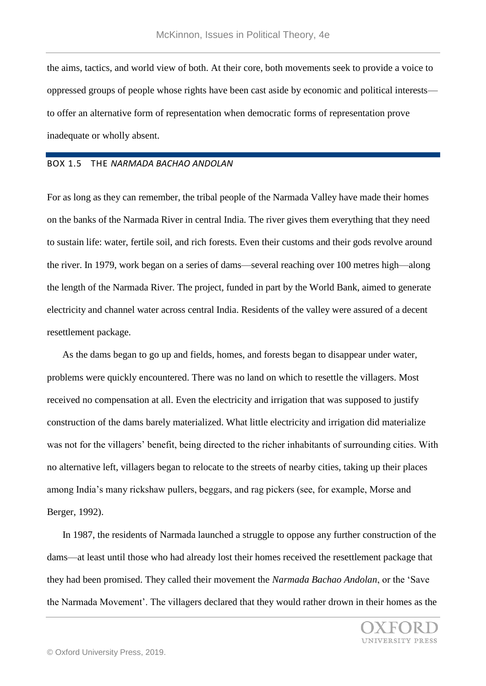the aims, tactics, and world view of both. At their core, both movements seek to provide a voice to oppressed groups of people whose rights have been cast aside by economic and political interests to offer an alternative form of representation when democratic forms of representation prove inadequate or wholly absent.

# BOX 1.5 THE *NARMADA BACHAO ANDOLAN*

For as long as they can remember, the tribal people of the Narmada Valley have made their homes on the banks of the Narmada River in central India. The river gives them everything that they need to sustain life: water, fertile soil, and rich forests. Even their customs and their gods revolve around the river. In 1979, work began on a series of dams—several reaching over 100 metres high—along the length of the Narmada River. The project, funded in part by the World Bank, aimed to generate electricity and channel water across central India. Residents of the valley were assured of a decent resettlement package.

 As the dams began to go up and fields, homes, and forests began to disappear under water, problems were quickly encountered. There was no land on which to resettle the villagers. Most received no compensation at all. Even the electricity and irrigation that was supposed to justify construction of the dams barely materialized. What little electricity and irrigation did materialize was not for the villagers' benefit, being directed to the richer inhabitants of surrounding cities. With no alternative left, villagers began to relocate to the streets of nearby cities, taking up their places among India's many rickshaw pullers, beggars, and rag pickers (see, for example, Morse and Berger, 1992).

 In 1987, the residents of Narmada launched a struggle to oppose any further construction of the dams—at least until those who had already lost their homes received the resettlement package that they had been promised. They called their movement the *Narmada Bachao Andolan*, or the 'Save the Narmada Movement'. The villagers declared that they would rather drown in their homes as the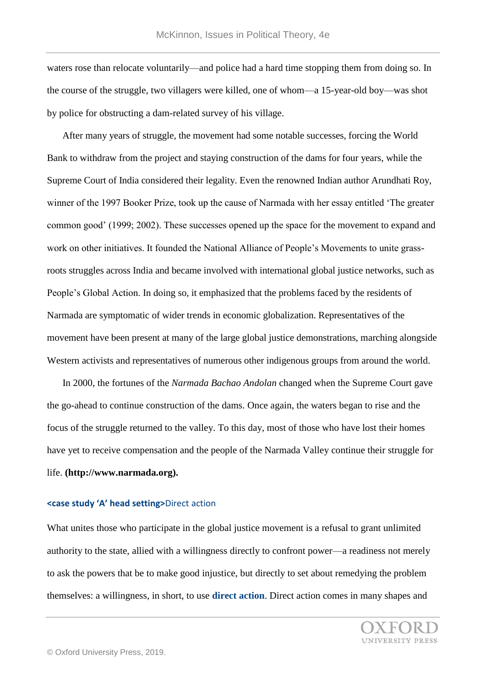waters rose than relocate voluntarily—and police had a hard time stopping them from doing so. In the course of the struggle, two villagers were killed, one of whom—a 15-year-old boy—was shot by police for obstructing a dam-related survey of his village.

 After many years of struggle, the movement had some notable successes, forcing the World Bank to withdraw from the project and staying construction of the dams for four years, while the Supreme Court of India considered their legality. Even the renowned Indian author Arundhati Roy, winner of the 1997 Booker Prize, took up the cause of Narmada with her essay entitled 'The greater common good' (1999; 2002). These successes opened up the space for the movement to expand and work on other initiatives. It founded the National Alliance of People's Movements to unite grassroots struggles across India and became involved with international global justice networks, such as People's Global Action. In doing so, it emphasized that the problems faced by the residents of Narmada are symptomatic of wider trends in economic globalization. Representatives of the movement have been present at many of the large global justice demonstrations, marching alongside Western activists and representatives of numerous other indigenous groups from around the world.

 In 2000, the fortunes of the *Narmada Bachao Andolan* changed when the Supreme Court gave the go-ahead to continue construction of the dams. Once again, the waters began to rise and the focus of the struggle returned to the valley. To this day, most of those who have lost their homes have yet to receive compensation and the people of the Narmada Valley continue their struggle for life. **(http://www.narmada.org).**

## **<case study 'A' head setting>**Direct action

What unites those who participate in the global justice movement is a refusal to grant unlimited authority to the state, allied with a willingness directly to confront power—a readiness not merely to ask the powers that be to make good injustice, but directly to set about remedying the problem themselves: a willingness, in short, to use **direct action**. Direct action comes in many shapes and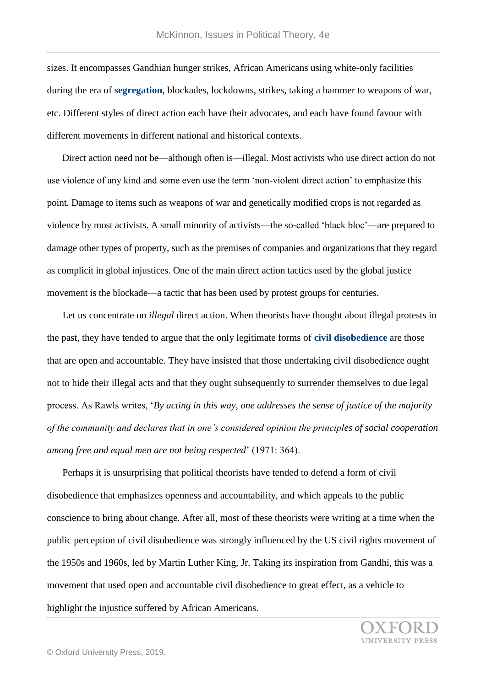sizes. It encompasses Gandhian hunger strikes, African Americans using white-only facilities during the era of **segregation**, blockades, lockdowns, strikes, taking a hammer to weapons of war, etc. Different styles of direct action each have their advocates, and each have found favour with different movements in different national and historical contexts.

 Direct action need not be—although often is—illegal. Most activists who use direct action do not use violence of any kind and some even use the term 'non-violent direct action' to emphasize this point. Damage to items such as weapons of war and genetically modified crops is not regarded as violence by most activists. A small minority of activists—the so-called 'black bloc'—are prepared to damage other types of property, such as the premises of companies and organizations that they regard as complicit in global injustices. One of the main direct action tactics used by the global justice movement is the blockade—a tactic that has been used by protest groups for centuries.

 Let us concentrate on *illegal* direct action. When theorists have thought about illegal protests in the past, they have tended to argue that the only legitimate forms of **civil disobedience** are those that are open and accountable. They have insisted that those undertaking civil disobedience ought not to hide their illegal acts and that they ought subsequently to surrender themselves to due legal process. As Rawls writes, '*By acting in this way, one addresses the sense of justice of the majority of the community and declares that in one's considered opinion the principles of social cooperation among free and equal men are not being respected*' (1971: 364).

 Perhaps it is unsurprising that political theorists have tended to defend a form of civil disobedience that emphasizes openness and accountability, and which appeals to the public conscience to bring about change. After all, most of these theorists were writing at a time when the public perception of civil disobedience was strongly influenced by the US civil rights movement of the 1950s and 1960s, led by Martin Luther King, Jr. Taking its inspiration from Gandhi, this was a movement that used open and accountable civil disobedience to great effect, as a vehicle to highlight the injustice suffered by African Americans.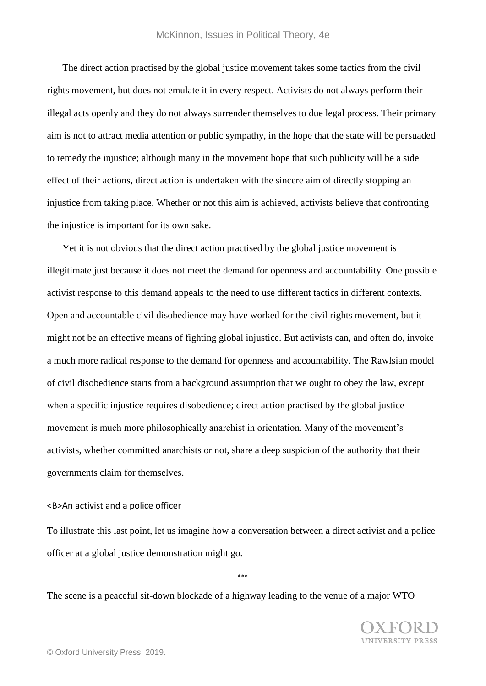The direct action practised by the global justice movement takes some tactics from the civil rights movement, but does not emulate it in every respect. Activists do not always perform their illegal acts openly and they do not always surrender themselves to due legal process. Their primary aim is not to attract media attention or public sympathy, in the hope that the state will be persuaded to remedy the injustice; although many in the movement hope that such publicity will be a side effect of their actions, direct action is undertaken with the sincere aim of directly stopping an injustice from taking place. Whether or not this aim is achieved, activists believe that confronting the injustice is important for its own sake.

 Yet it is not obvious that the direct action practised by the global justice movement is illegitimate just because it does not meet the demand for openness and accountability. One possible activist response to this demand appeals to the need to use different tactics in different contexts. Open and accountable civil disobedience may have worked for the civil rights movement, but it might not be an effective means of fighting global injustice. But activists can, and often do, invoke a much more radical response to the demand for openness and accountability. The Rawlsian model of civil disobedience starts from a background assumption that we ought to obey the law, except when a specific injustice requires disobedience; direct action practised by the global justice movement is much more philosophically anarchist in orientation. Many of the movement's activists, whether committed anarchists or not, share a deep suspicion of the authority that their governments claim for themselves.

# <B>An activist and a police officer

To illustrate this last point, let us imagine how a conversation between a direct activist and a police officer at a global justice demonstration might go.

\*\*\*

The scene is a peaceful sit-down blockade of a highway leading to the venue of a major WTO

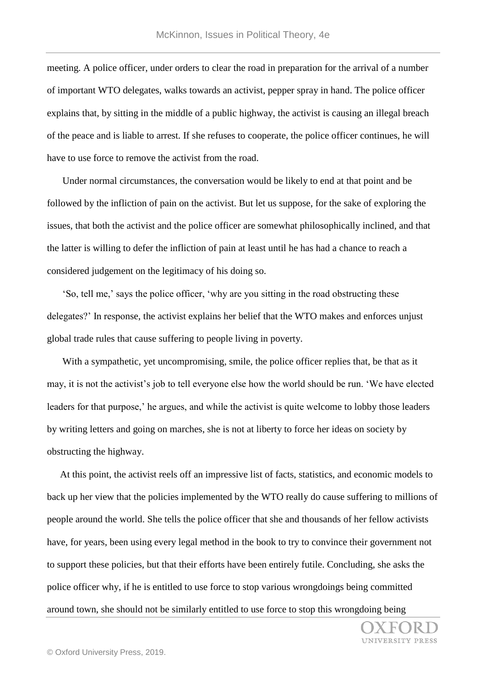meeting. A police officer, under orders to clear the road in preparation for the arrival of a number of important WTO delegates, walks towards an activist, pepper spray in hand. The police officer explains that, by sitting in the middle of a public highway, the activist is causing an illegal breach of the peace and is liable to arrest. If she refuses to cooperate, the police officer continues, he will have to use force to remove the activist from the road.

 Under normal circumstances, the conversation would be likely to end at that point and be followed by the infliction of pain on the activist. But let us suppose, for the sake of exploring the issues, that both the activist and the police officer are somewhat philosophically inclined, and that the latter is willing to defer the infliction of pain at least until he has had a chance to reach a considered judgement on the legitimacy of his doing so.

 'So, tell me,' says the police officer, 'why are you sitting in the road obstructing these delegates?' In response, the activist explains her belief that the WTO makes and enforces unjust global trade rules that cause suffering to people living in poverty.

With a sympathetic, yet uncompromising, smile, the police officer replies that, be that as it may, it is not the activist's job to tell everyone else how the world should be run. 'We have elected leaders for that purpose,' he argues, and while the activist is quite welcome to lobby those leaders by writing letters and going on marches, she is not at liberty to force her ideas on society by obstructing the highway.

 At this point, the activist reels off an impressive list of facts, statistics, and economic models to back up her view that the policies implemented by the WTO really do cause suffering to millions of people around the world. She tells the police officer that she and thousands of her fellow activists have, for years, been using every legal method in the book to try to convince their government not to support these policies, but that their efforts have been entirely futile. Concluding, she asks the police officer why, if he is entitled to use force to stop various wrongdoings being committed around town, she should not be similarly entitled to use force to stop this wrongdoing being

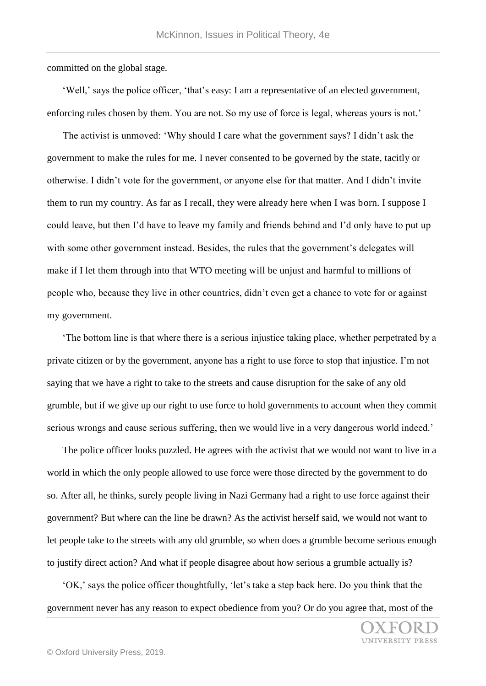committed on the global stage.

 'Well,' says the police officer, 'that's easy: I am a representative of an elected government, enforcing rules chosen by them. You are not. So my use of force is legal, whereas yours is not.'

 The activist is unmoved: 'Why should I care what the government says? I didn't ask the government to make the rules for me. I never consented to be governed by the state, tacitly or otherwise. I didn't vote for the government, or anyone else for that matter. And I didn't invite them to run my country. As far as I recall, they were already here when I was born. I suppose I could leave, but then I'd have to leave my family and friends behind and I'd only have to put up with some other government instead. Besides, the rules that the government's delegates will make if I let them through into that WTO meeting will be unjust and harmful to millions of people who, because they live in other countries, didn't even get a chance to vote for or against my government.

 'The bottom line is that where there is a serious injustice taking place, whether perpetrated by a private citizen or by the government, anyone has a right to use force to stop that injustice. I'm not saying that we have a right to take to the streets and cause disruption for the sake of any old grumble, but if we give up our right to use force to hold governments to account when they commit serious wrongs and cause serious suffering, then we would live in a very dangerous world indeed.'

 The police officer looks puzzled. He agrees with the activist that we would not want to live in a world in which the only people allowed to use force were those directed by the government to do so. After all, he thinks, surely people living in Nazi Germany had a right to use force against their government? But where can the line be drawn? As the activist herself said, we would not want to let people take to the streets with any old grumble, so when does a grumble become serious enough to justify direct action? And what if people disagree about how serious a grumble actually is?

 'OK,' says the police officer thoughtfully, 'let's take a step back here. Do you think that the government never has any reason to expect obedience from you? Or do you agree that, most of the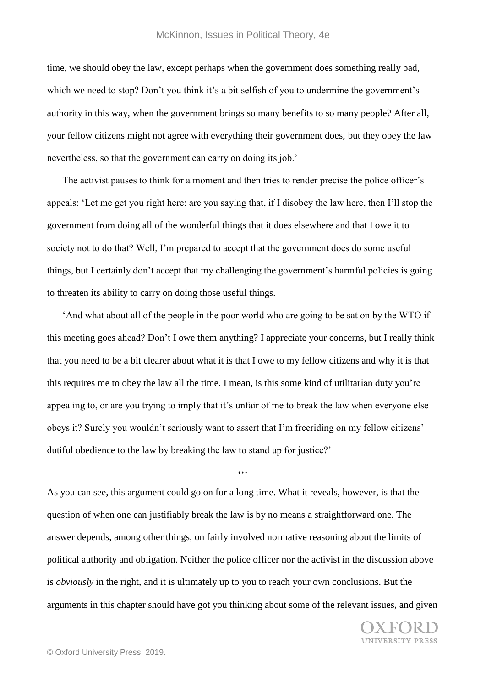time, we should obey the law, except perhaps when the government does something really bad, which we need to stop? Don't you think it's a bit selfish of you to undermine the government's authority in this way, when the government brings so many benefits to so many people? After all, your fellow citizens might not agree with everything their government does, but they obey the law nevertheless, so that the government can carry on doing its job.'

 The activist pauses to think for a moment and then tries to render precise the police officer's appeals: 'Let me get you right here: are you saying that, if I disobey the law here, then I'll stop the government from doing all of the wonderful things that it does elsewhere and that I owe it to society not to do that? Well, I'm prepared to accept that the government does do some useful things, but I certainly don't accept that my challenging the government's harmful policies is going to threaten its ability to carry on doing those useful things.

 'And what about all of the people in the poor world who are going to be sat on by the WTO if this meeting goes ahead? Don't I owe them anything? I appreciate your concerns, but I really think that you need to be a bit clearer about what it is that I owe to my fellow citizens and why it is that this requires me to obey the law all the time. I mean, is this some kind of utilitarian duty you're appealing to, or are you trying to imply that it's unfair of me to break the law when everyone else obeys it? Surely you wouldn't seriously want to assert that I'm freeriding on my fellow citizens' dutiful obedience to the law by breaking the law to stand up for justice?'

As you can see, this argument could go on for a long time. What it reveals, however, is that the question of when one can justifiably break the law is by no means a straightforward one. The answer depends, among other things, on fairly involved normative reasoning about the limits of political authority and obligation. Neither the police officer nor the activist in the discussion above is *obviously* in the right, and it is ultimately up to you to reach your own conclusions. But the arguments in this chapter should have got you thinking about some of the relevant issues, and given

\*\*\*